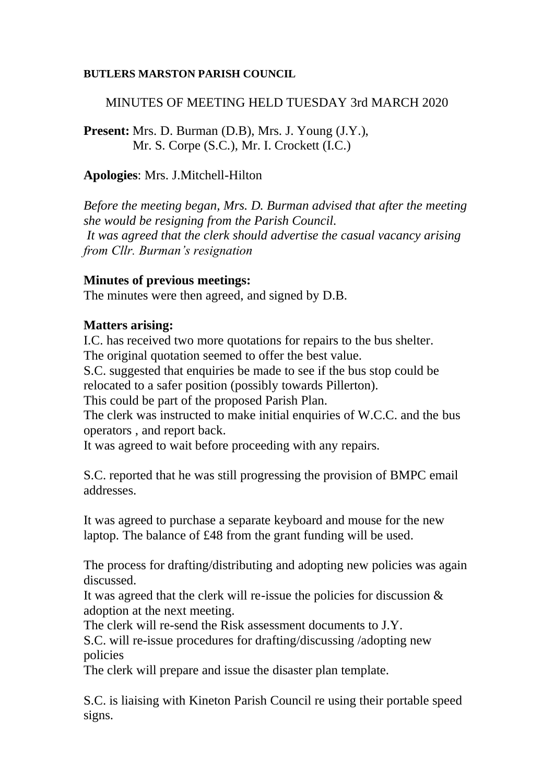### **BUTLERS MARSTON PARISH COUNCIL**

## MINUTES OF MEETING HELD TUESDAY 3rd MARCH 2020

**Present:** Mrs. D. Burman (D.B), Mrs. J. Young (J.Y.), Mr. S. Corpe (S.C.), Mr. I. Crockett (I.C.)

### **Apologies**: Mrs. J.Mitchell-Hilton

*Before the meeting began, Mrs. D. Burman advised that after the meeting she would be resigning from the Parish Council. It was agreed that the clerk should advertise the casual vacancy arising from Cllr. Burman's resignation*

### **Minutes of previous meetings:**

The minutes were then agreed, and signed by D.B.

## **Matters arising:**

I.C. has received two more quotations for repairs to the bus shelter. The original quotation seemed to offer the best value.

S.C. suggested that enquiries be made to see if the bus stop could be relocated to a safer position (possibly towards Pillerton).

This could be part of the proposed Parish Plan.

The clerk was instructed to make initial enquiries of W.C.C. and the bus operators , and report back.

It was agreed to wait before proceeding with any repairs.

S.C. reported that he was still progressing the provision of BMPC email addresses.

It was agreed to purchase a separate keyboard and mouse for the new laptop. The balance of £48 from the grant funding will be used.

The process for drafting/distributing and adopting new policies was again discussed.

It was agreed that the clerk will re-issue the policies for discussion  $\&$ adoption at the next meeting.

The clerk will re-send the Risk assessment documents to J.Y.

S.C. will re-issue procedures for drafting/discussing /adopting new policies

The clerk will prepare and issue the disaster plan template.

S.C. is liaising with Kineton Parish Council re using their portable speed signs.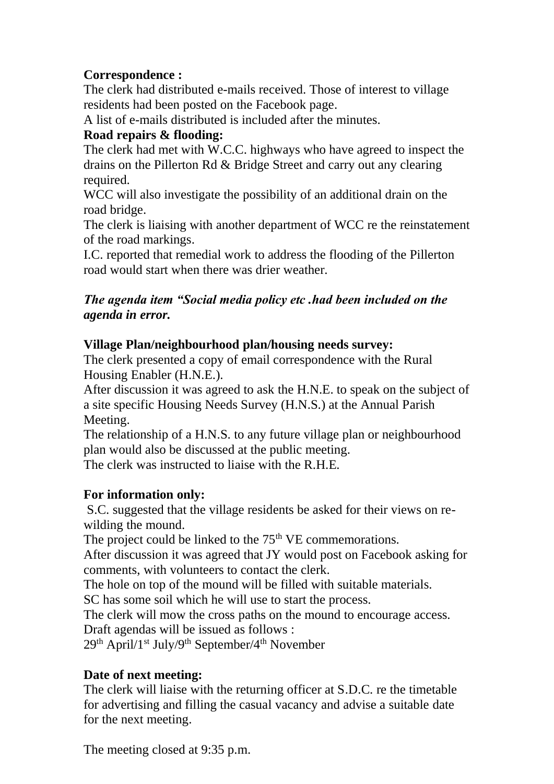# **Correspondence :**

The clerk had distributed e-mails received. Those of interest to village residents had been posted on the Facebook page.

A list of e-mails distributed is included after the minutes.

# **Road repairs & flooding:**

The clerk had met with W.C.C. highways who have agreed to inspect the drains on the Pillerton Rd & Bridge Street and carry out any clearing required.

WCC will also investigate the possibility of an additional drain on the road bridge.

The clerk is liaising with another department of WCC re the reinstatement of the road markings.

I.C. reported that remedial work to address the flooding of the Pillerton road would start when there was drier weather.

## *The agenda item "Social media policy etc .had been included on the agenda in error.*

# **Village Plan/neighbourhood plan/housing needs survey:**

The clerk presented a copy of email correspondence with the Rural Housing Enabler (H.N.E.).

After discussion it was agreed to ask the H.N.E. to speak on the subject of a site specific Housing Needs Survey (H.N.S.) at the Annual Parish Meeting.

The relationship of a H.N.S. to any future village plan or neighbourhood plan would also be discussed at the public meeting.

The clerk was instructed to liaise with the R.H.E.

## **For information only:**

S.C. suggested that the village residents be asked for their views on rewilding the mound.

The project could be linked to the 75<sup>th</sup> VE commemorations.

After discussion it was agreed that JY would post on Facebook asking for comments, with volunteers to contact the clerk.

The hole on top of the mound will be filled with suitable materials.

SC has some soil which he will use to start the process.

The clerk will mow the cross paths on the mound to encourage access. Draft agendas will be issued as follows :

29th April/1st July/9th September/4th November

# **Date of next meeting:**

The clerk will liaise with the returning officer at S.D.C. re the timetable for advertising and filling the casual vacancy and advise a suitable date for the next meeting.

The meeting closed at 9:35 p.m.